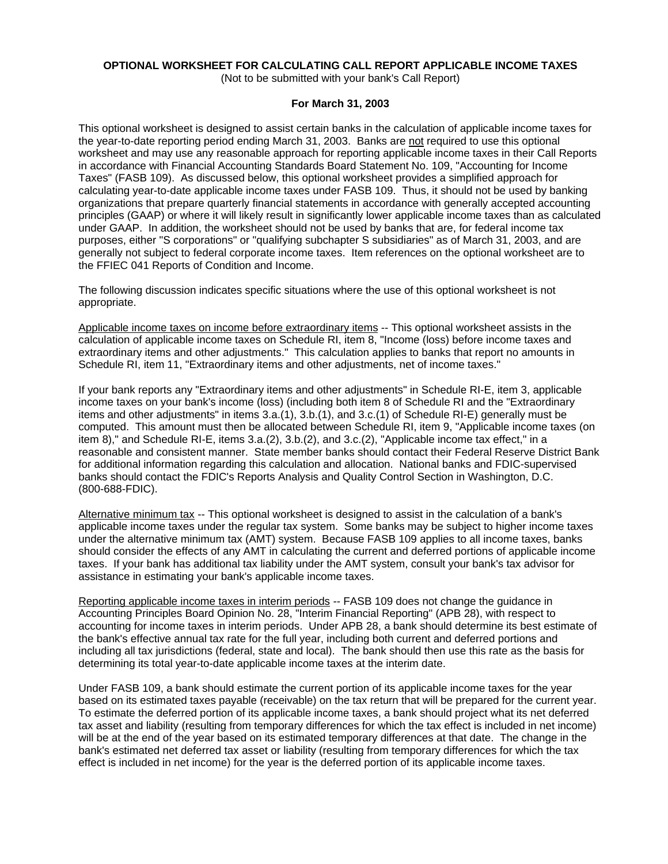# **OPTIONAL WORKSHEET FOR CALCULATING CALL REPORT APPLICABLE INCOME TAXES**

(Not to be submitted with your bank's Call Report)

### **For March 31, 2003**

This optional worksheet is designed to assist certain banks in the calculation of applicable income taxes for the year-to-date reporting period ending March 31, 2003. Banks are not required to use this optional worksheet and may use any reasonable approach for reporting applicable income taxes in their Call Reports in accordance with Financial Accounting Standards Board Statement No. 109, "Accounting for Income Taxes" (FASB 109). As discussed below, this optional worksheet provides a simplified approach for calculating year-to-date applicable income taxes under FASB 109. Thus, it should not be used by banking organizations that prepare quarterly financial statements in accordance with generally accepted accounting principles (GAAP) or where it will likely result in significantly lower applicable income taxes than as calculated under GAAP. In addition, the worksheet should not be used by banks that are, for federal income tax purposes, either "S corporations" or "qualifying subchapter S subsidiaries" as of March 31, 2003, and are generally not subject to federal corporate income taxes. Item references on the optional worksheet are to the FFIEC 041 Reports of Condition and Income.

The following discussion indicates specific situations where the use of this optional worksheet is not appropriate.

Applicable income taxes on income before extraordinary items -- This optional worksheet assists in the calculation of applicable income taxes on Schedule RI, item 8, "Income (loss) before income taxes and extraordinary items and other adjustments." This calculation applies to banks that report no amounts in Schedule RI, item 11, "Extraordinary items and other adjustments, net of income taxes."

If your bank reports any "Extraordinary items and other adjustments" in Schedule RI-E, item 3, applicable income taxes on your bank's income (loss) (including both item 8 of Schedule RI and the "Extraordinary items and other adjustments" in items 3.a.(1), 3.b.(1), and 3.c.(1) of Schedule RI-E) generally must be computed. This amount must then be allocated between Schedule RI, item 9, "Applicable income taxes (on item 8)," and Schedule RI-E, items 3.a.(2), 3.b.(2), and 3.c.(2), "Applicable income tax effect," in a reasonable and consistent manner. State member banks should contact their Federal Reserve District Bank for additional information regarding this calculation and allocation. National banks and FDIC-supervised banks should contact the FDIC's Reports Analysis and Quality Control Section in Washington, D.C. (800-688-FDIC).

Alternative minimum tax -- This optional worksheet is designed to assist in the calculation of a bank's applicable income taxes under the regular tax system. Some banks may be subject to higher income taxes under the alternative minimum tax (AMT) system. Because FASB 109 applies to all income taxes, banks should consider the effects of any AMT in calculating the current and deferred portions of applicable income taxes. If your bank has additional tax liability under the AMT system, consult your bank's tax advisor for assistance in estimating your bank's applicable income taxes.

Reporting applicable income taxes in interim periods -- FASB 109 does not change the guidance in Accounting Principles Board Opinion No. 28, "Interim Financial Reporting" (APB 28), with respect to accounting for income taxes in interim periods. Under APB 28, a bank should determine its best estimate of the bank's effective annual tax rate for the full year, including both current and deferred portions and including all tax jurisdictions (federal, state and local). The bank should then use this rate as the basis for determining its total year-to-date applicable income taxes at the interim date.

Under FASB 109, a bank should estimate the current portion of its applicable income taxes for the year based on its estimated taxes payable (receivable) on the tax return that will be prepared for the current year. To estimate the deferred portion of its applicable income taxes, a bank should project what its net deferred tax asset and liability (resulting from temporary differences for which the tax effect is included in net income) will be at the end of the year based on its estimated temporary differences at that date. The change in the bank's estimated net deferred tax asset or liability (resulting from temporary differences for which the tax effect is included in net income) for the year is the deferred portion of its applicable income taxes.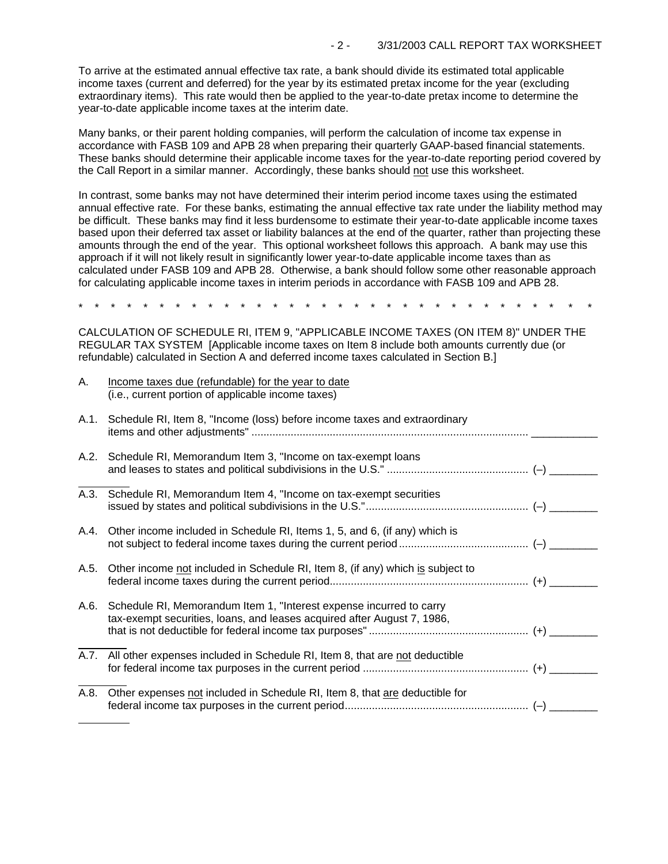To arrive at the estimated annual effective tax rate, a bank should divide its estimated total applicable income taxes (current and deferred) for the year by its estimated pretax income for the year (excluding extraordinary items). This rate would then be applied to the year-to-date pretax income to determine the year-to-date applicable income taxes at the interim date.

Many banks, or their parent holding companies, will perform the calculation of income tax expense in accordance with FASB 109 and APB 28 when preparing their quarterly GAAP-based financial statements. These banks should determine their applicable income taxes for the year-to-date reporting period covered by the Call Report in a similar manner. Accordingly, these banks should not use this worksheet.

In contrast, some banks may not have determined their interim period income taxes using the estimated annual effective rate. For these banks, estimating the annual effective tax rate under the liability method may be difficult. These banks may find it less burdensome to estimate their year-to-date applicable income taxes based upon their deferred tax asset or liability balances at the end of the quarter, rather than projecting these amounts through the end of the year. This optional worksheet follows this approach. A bank may use this approach if it will not likely result in significantly lower year-to-date applicable income taxes than as calculated under FASB 109 and APB 28. Otherwise, a bank should follow some other reasonable approach for calculating applicable income taxes in interim periods in accordance with FASB 109 and APB 28.

\* \* \* \* \* \* \* \* \* \* \* \* \* \* \* \* \* \* \* \* \* \* \* \* \* \* \* \* \* \* \* \*

CALCULATION OF SCHEDULE RI, ITEM 9, "APPLICABLE INCOME TAXES (ON ITEM 8)" UNDER THE REGULAR TAX SYSTEM [Applicable income taxes on Item 8 include both amounts currently due (or refundable) calculated in Section A and deferred income taxes calculated in Section B.]

| Α.   | Income taxes due (refundable) for the year to date<br>(i.e., current portion of applicable income taxes)                                       |  |
|------|------------------------------------------------------------------------------------------------------------------------------------------------|--|
| A.1. | Schedule RI, Item 8, "Income (loss) before income taxes and extraordinary                                                                      |  |
| A.2. | Schedule RI, Memorandum Item 3, "Income on tax-exempt Ioans"                                                                                   |  |
| A.3. | Schedule RI, Memorandum Item 4, "Income on tax-exempt securities                                                                               |  |
| A.4. | Other income included in Schedule RI, Items 1, 5, and 6, (if any) which is                                                                     |  |
| A.5. | Other income not included in Schedule RI, Item 8, (if any) which is subject to                                                                 |  |
| A.6. | Schedule RI, Memorandum Item 1, "Interest expense incurred to carry<br>tax-exempt securities, loans, and leases acquired after August 7, 1986, |  |
|      | A.7. All other expenses included in Schedule RI, Item 8, that are not deductible                                                               |  |
| A.8. | Other expenses not included in Schedule RI, Item 8, that are deductible for                                                                    |  |
|      |                                                                                                                                                |  |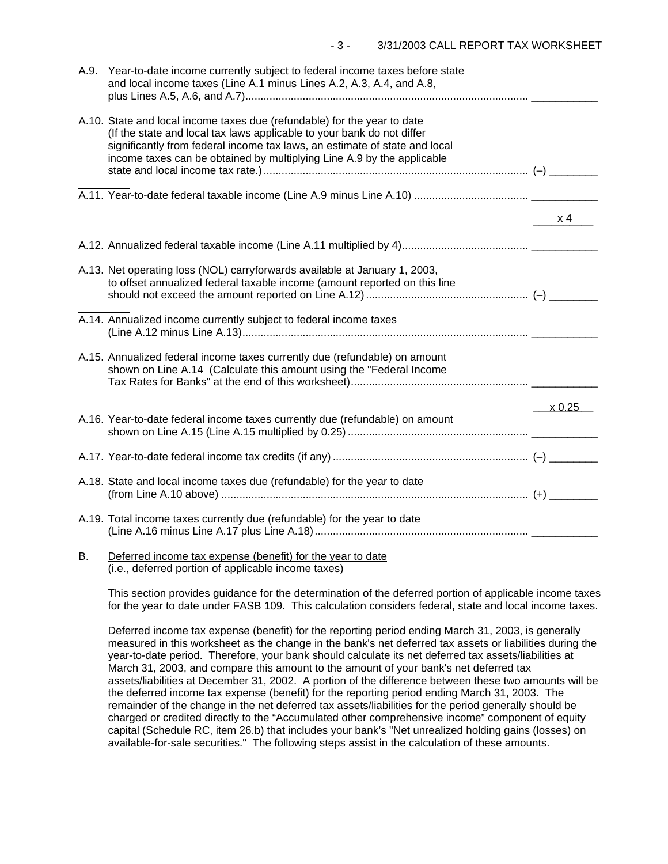| A.9. | Year-to-date income currently subject to federal income taxes before state<br>and local income taxes (Line A.1 minus Lines A.2, A.3, A.4, and A.8,                                                                                                                                                         |        |
|------|------------------------------------------------------------------------------------------------------------------------------------------------------------------------------------------------------------------------------------------------------------------------------------------------------------|--------|
|      | A.10. State and local income taxes due (refundable) for the year to date<br>(If the state and local tax laws applicable to your bank do not differ<br>significantly from federal income tax laws, an estimate of state and local<br>income taxes can be obtained by multiplying Line A.9 by the applicable |        |
|      |                                                                                                                                                                                                                                                                                                            |        |
|      |                                                                                                                                                                                                                                                                                                            | x 4    |
|      |                                                                                                                                                                                                                                                                                                            |        |
|      | A.13. Net operating loss (NOL) carryforwards available at January 1, 2003,<br>to offset annualized federal taxable income (amount reported on this line                                                                                                                                                    |        |
|      | A.14. Annualized income currently subject to federal income taxes                                                                                                                                                                                                                                          |        |
|      | A.15. Annualized federal income taxes currently due (refundable) on amount<br>shown on Line A.14 (Calculate this amount using the "Federal Income                                                                                                                                                          |        |
|      |                                                                                                                                                                                                                                                                                                            | x 0.25 |
|      | A.16. Year-to-date federal income taxes currently due (refundable) on amount                                                                                                                                                                                                                               |        |
|      |                                                                                                                                                                                                                                                                                                            |        |
|      | A.18. State and local income taxes due (refundable) for the year to date                                                                                                                                                                                                                                   |        |
|      | A.19. Total income taxes currently due (refundable) for the year to date                                                                                                                                                                                                                                   |        |
| В.   | Deferred income tax expense (benefit) for the year to date                                                                                                                                                                                                                                                 |        |

(i.e., deferred portion of applicable income taxes)

This section provides guidance for the determination of the deferred portion of applicable income taxes for the year to date under FASB 109. This calculation considers federal, state and local income taxes.

Deferred income tax expense (benefit) for the reporting period ending March 31, 2003, is generally measured in this worksheet as the change in the bank's net deferred tax assets or liabilities during the year-to-date period. Therefore, your bank should calculate its net deferred tax assets/liabilities at March 31, 2003, and compare this amount to the amount of your bank's net deferred tax assets/liabilities at December 31, 2002. A portion of the difference between these two amounts will be the deferred income tax expense (benefit) for the reporting period ending March 31, 2003. The remainder of the change in the net deferred tax assets/liabilities for the period generally should be charged or credited directly to the "Accumulated other comprehensive income" component of equity capital (Schedule RC, item 26.b) that includes your bank's "Net unrealized holding gains (losses) on available-for-sale securities." The following steps assist in the calculation of these amounts.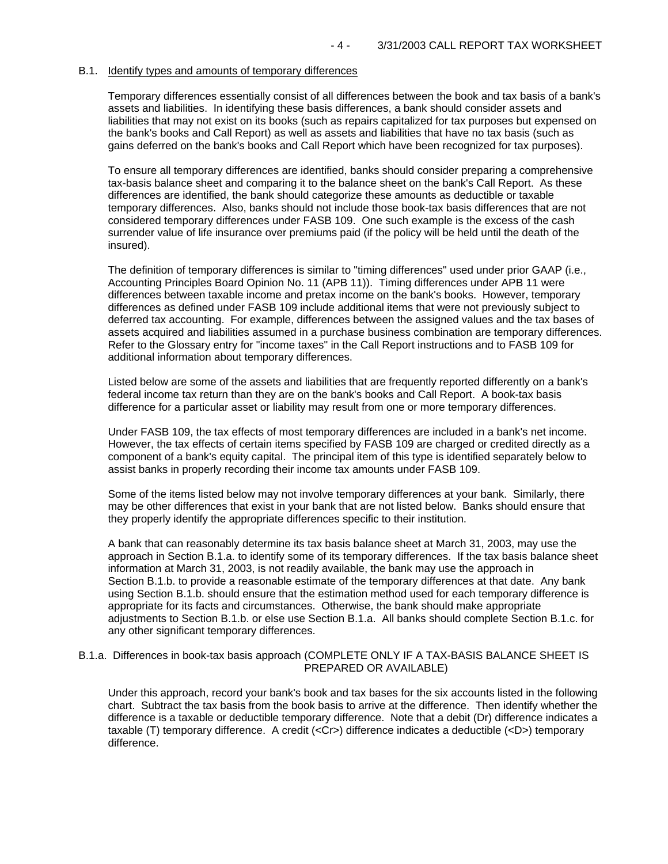#### B.1. Identify types and amounts of temporary differences

Temporary differences essentially consist of all differences between the book and tax basis of a bank's assets and liabilities. In identifying these basis differences, a bank should consider assets and liabilities that may not exist on its books (such as repairs capitalized for tax purposes but expensed on the bank's books and Call Report) as well as assets and liabilities that have no tax basis (such as gains deferred on the bank's books and Call Report which have been recognized for tax purposes).

To ensure all temporary differences are identified, banks should consider preparing a comprehensive tax-basis balance sheet and comparing it to the balance sheet on the bank's Call Report. As these differences are identified, the bank should categorize these amounts as deductible or taxable temporary differences. Also, banks should not include those book-tax basis differences that are not considered temporary differences under FASB 109. One such example is the excess of the cash surrender value of life insurance over premiums paid (if the policy will be held until the death of the insured).

The definition of temporary differences is similar to "timing differences" used under prior GAAP (i.e., Accounting Principles Board Opinion No. 11 (APB 11)). Timing differences under APB 11 were differences between taxable income and pretax income on the bank's books. However, temporary differences as defined under FASB 109 include additional items that were not previously subject to deferred tax accounting. For example, differences between the assigned values and the tax bases of assets acquired and liabilities assumed in a purchase business combination are temporary differences. Refer to the Glossary entry for "income taxes" in the Call Report instructions and to FASB 109 for additional information about temporary differences.

Listed below are some of the assets and liabilities that are frequently reported differently on a bank's federal income tax return than they are on the bank's books and Call Report. A book-tax basis difference for a particular asset or liability may result from one or more temporary differences.

Under FASB 109, the tax effects of most temporary differences are included in a bank's net income. However, the tax effects of certain items specified by FASB 109 are charged or credited directly as a component of a bank's equity capital. The principal item of this type is identified separately below to assist banks in properly recording their income tax amounts under FASB 109.

Some of the items listed below may not involve temporary differences at your bank. Similarly, there may be other differences that exist in your bank that are not listed below. Banks should ensure that they properly identify the appropriate differences specific to their institution.

A bank that can reasonably determine its tax basis balance sheet at March 31, 2003, may use the approach in Section B.1.a. to identify some of its temporary differences. If the tax basis balance sheet information at March 31, 2003, is not readily available, the bank may use the approach in Section B.1.b. to provide a reasonable estimate of the temporary differences at that date. Any bank using Section B.1.b. should ensure that the estimation method used for each temporary difference is appropriate for its facts and circumstances. Otherwise, the bank should make appropriate adjustments to Section B.1.b. or else use Section B.1.a. All banks should complete Section B.1.c. for any other significant temporary differences.

#### B.1.a. Differences in book-tax basis approach (COMPLETE ONLY IF A TAX-BASIS BALANCE SHEET IS PREPARED OR AVAILABLE)

Under this approach, record your bank's book and tax bases for the six accounts listed in the following chart. Subtract the tax basis from the book basis to arrive at the difference. Then identify whether the difference is a taxable or deductible temporary difference. Note that a debit (Dr) difference indicates a taxable (T) temporary difference. A credit (<Cr>) difference indicates a deductible (<D>) temporary difference.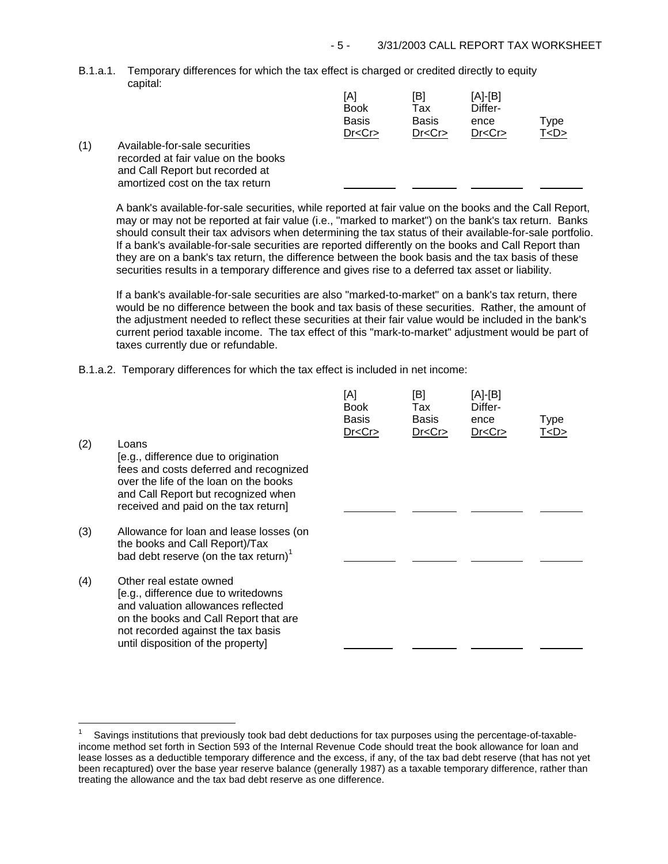B.1.a.1. Temporary differences for which the tax effect is charged or credited directly to equity capital:

|     |                                     | [A]<br><b>Book</b> | [B]<br>Tax   | $[A]-[B]$<br>Differ- |           |
|-----|-------------------------------------|--------------------|--------------|----------------------|-----------|
|     |                                     | <b>Basis</b>       | <b>Basis</b> | ence                 | Type      |
|     |                                     | Dr < Cr            | Dr < Cr      | Dr < Cr              | T <d></d> |
| (1) | Available-for-sale securities       |                    |              |                      |           |
|     | recorded at fair value on the books |                    |              |                      |           |
|     | and Call Report but recorded at     |                    |              |                      |           |
|     | amortized cost on the tax return    |                    |              |                      |           |

A bank's available-for-sale securities, while reported at fair value on the books and the Call Report, may or may not be reported at fair value (i.e., "marked to market") on the bank's tax return. Banks should consult their tax advisors when determining the tax status of their available-for-sale portfolio. If a bank's available-for-sale securities are reported differently on the books and Call Report than they are on a bank's tax return, the difference between the book basis and the tax basis of these securities results in a temporary difference and gives rise to a deferred tax asset or liability.

If a bank's available-for-sale securities are also "marked-to-market" on a bank's tax return, there would be no difference between the book and tax basis of these securities. Rather, the amount of the adjustment needed to reflect these securities at their fair value would be included in the bank's current period taxable income. The tax effect of this "mark-to-market" adjustment would be part of taxes currently due or refundable.

B.1.a.2. Temporary differences for which the tax effect is included in net income:

| (2) | Loans<br>[e.g., difference due to origination<br>fees and costs deferred and recognized<br>over the life of the loan on the books<br>and Call Report but recognized when<br>received and paid on the tax return]          | [A]<br><b>Book</b><br>Basis<br>Dr < Cr | [B]<br>Tax<br>Basis<br>Dr < Cr | [A]-[B]<br>Differ-<br>ence<br>Dr < Cr | <b>Type</b><br>T <d></d> |
|-----|---------------------------------------------------------------------------------------------------------------------------------------------------------------------------------------------------------------------------|----------------------------------------|--------------------------------|---------------------------------------|--------------------------|
| (3) | Allowance for loan and lease losses (on<br>the books and Call Report)/Tax<br>bad debt reserve (on the tax return) $1$                                                                                                     |                                        |                                |                                       |                          |
| (4) | Other real estate owned<br>[e.g., difference due to writedowns<br>and valuation allowances reflected<br>on the books and Call Report that are<br>not recorded against the tax basis<br>until disposition of the property] |                                        |                                |                                       |                          |

J.

Savings institutions that previously took bad debt deductions for tax purposes using the percentage-of-taxableincome method set forth in Section 593 of the Internal Revenue Code should treat the book allowance for loan and lease losses as a deductible temporary difference and the excess, if any, of the tax bad debt reserve (that has not yet been recaptured) over the base year reserve balance (generally 1987) as a taxable temporary difference, rather than treating the allowance and the tax bad debt reserve as one difference. 1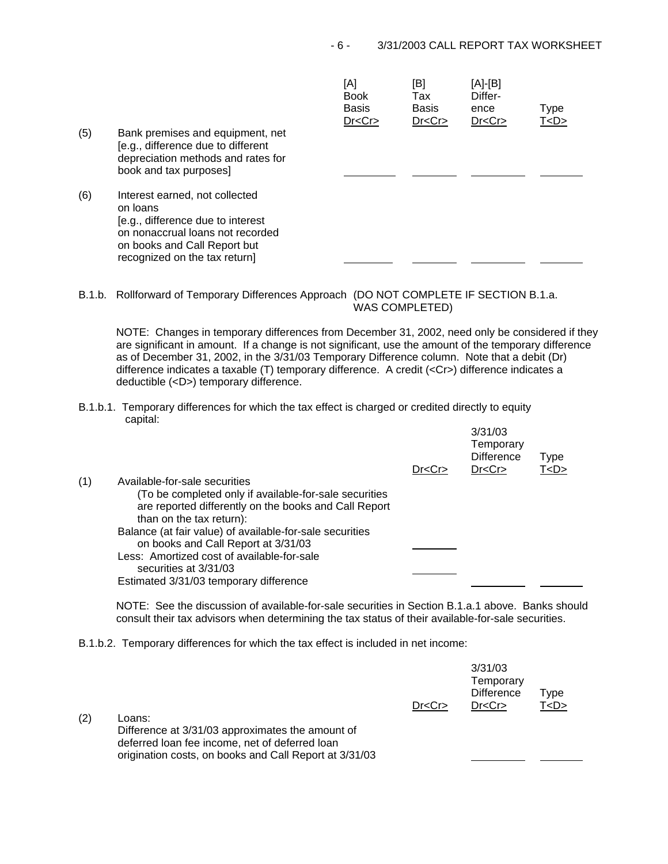| (5) | Bank premises and equipment, net<br>[e.g., difference due to different<br>depreciation methods and rates for<br>book and tax purposes]                                               | [A]<br><b>Book</b><br><b>Basis</b><br>Dr < Cr | [B]<br>Tax<br><b>Basis</b><br>Dr < Cr | [A]-[B]<br>Differ-<br>ence<br>Dr < Cr | Type<br>T <d></d> |
|-----|--------------------------------------------------------------------------------------------------------------------------------------------------------------------------------------|-----------------------------------------------|---------------------------------------|---------------------------------------|-------------------|
| (6) | Interest earned, not collected<br>on loans<br>[e.g., difference due to interest<br>on nonaccrual loans not recorded<br>on books and Call Report but<br>recognized on the tax return] |                                               |                                       |                                       |                   |

B.1.b. Rollforward of Temporary Differences Approach (DO NOT COMPLETE IF SECTION B.1.a. WAS COMPLETED)

NOTE: Changes in temporary differences from December 31, 2002, need only be considered if they are significant in amount. If a change is not significant, use the amount of the temporary difference as of December 31, 2002, in the 3/31/03 Temporary Difference column. Note that a debit (Dr) difference indicates a taxable (T) temporary difference. A credit (<Cr>) difference indicates a deductible (<D>) temporary difference.

B.1.b.1. Temporary differences for which the tax effect is charged or credited directly to equity capital: 3/31/03

|     |                                                                                                                                             | Dr < Cr | 3/31/03<br>Temporary<br><b>Difference</b><br>Dr < Cr | Type<br>T <d></d> |
|-----|---------------------------------------------------------------------------------------------------------------------------------------------|---------|------------------------------------------------------|-------------------|
| (1) | Available-for-sale securities                                                                                                               |         |                                                      |                   |
|     | (To be completed only if available-for-sale securities<br>are reported differently on the books and Call Report<br>than on the tax return): |         |                                                      |                   |
|     | Balance (at fair value) of available-for-sale securities                                                                                    |         |                                                      |                   |
|     | on books and Call Report at 3/31/03                                                                                                         |         |                                                      |                   |
|     | Less: Amortized cost of available-for-sale                                                                                                  |         |                                                      |                   |
|     | securities at 3/31/03                                                                                                                       |         |                                                      |                   |
|     | Estimated 3/31/03 temporary difference                                                                                                      |         |                                                      |                   |

NOTE: See the discussion of available-for-sale securities in Section B.1.a.1 above. Banks should consult their tax advisors when determining the tax status of their available-for-sale securities.

B.1.b.2. Temporary differences for which the tax effect is included in net income:

| (2) | Loans:<br>Difference at 3/31/03 approximates the amount of<br>deferred loan fee income, net of deferred loan<br>origination costs, on books and Call Report at 3/31/03 | Dr < Cr | 3/31/03<br>Temporary<br><b>Difference</b><br>Dr < Cr | Type<br>T < D > |  |
|-----|------------------------------------------------------------------------------------------------------------------------------------------------------------------------|---------|------------------------------------------------------|-----------------|--|
|     |                                                                                                                                                                        |         |                                                      |                 |  |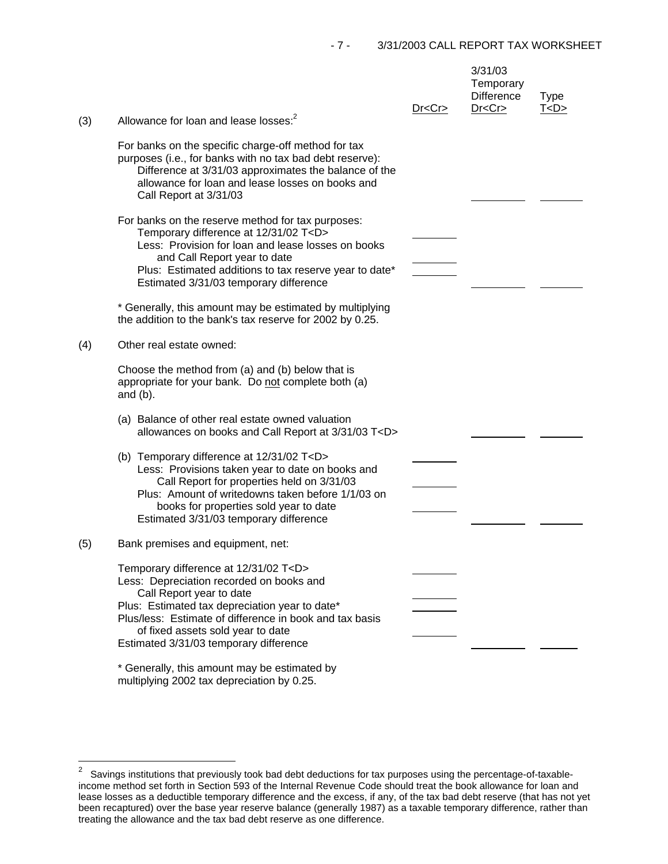| (3) | Allowance for loan and lease losses: <sup>2</sup>                                                                                                                                                                                                                                                                    | Dr < Cr | 3/31/03<br>Temporary<br><b>Difference</b><br>Dr < Cr | <b>Type</b><br>T < D > |
|-----|----------------------------------------------------------------------------------------------------------------------------------------------------------------------------------------------------------------------------------------------------------------------------------------------------------------------|---------|------------------------------------------------------|------------------------|
|     |                                                                                                                                                                                                                                                                                                                      |         |                                                      |                        |
|     | For banks on the specific charge-off method for tax<br>purposes (i.e., for banks with no tax bad debt reserve):<br>Difference at 3/31/03 approximates the balance of the<br>allowance for loan and lease losses on books and<br>Call Report at 3/31/03                                                               |         |                                                      |                        |
|     | For banks on the reserve method for tax purposes:<br>Temporary difference at 12/31/02 T <d></d>                                                                                                                                                                                                                      |         |                                                      |                        |
|     | Less: Provision for loan and lease losses on books                                                                                                                                                                                                                                                                   |         |                                                      |                        |
|     | and Call Report year to date<br>Plus: Estimated additions to tax reserve year to date*<br>Estimated 3/31/03 temporary difference                                                                                                                                                                                     |         |                                                      |                        |
|     | * Generally, this amount may be estimated by multiplying<br>the addition to the bank's tax reserve for 2002 by 0.25.                                                                                                                                                                                                 |         |                                                      |                        |
| (4) | Other real estate owned:                                                                                                                                                                                                                                                                                             |         |                                                      |                        |
|     | Choose the method from (a) and (b) below that is<br>appropriate for your bank. Do not complete both (a)<br>and $(b)$ .                                                                                                                                                                                               |         |                                                      |                        |
|     | (a) Balance of other real estate owned valuation<br>allowances on books and Call Report at 3/31/03 T <d></d>                                                                                                                                                                                                         |         |                                                      |                        |
|     | (b) Temporary difference at 12/31/02 T <d><br/>Less: Provisions taken year to date on books and<br/>Call Report for properties held on 3/31/03<br/>Plus: Amount of writedowns taken before 1/1/03 on<br/>books for properties sold year to date<br/>Estimated 3/31/03 temporary difference</d>                       |         |                                                      |                        |
| (5) | Bank premises and equipment, net:                                                                                                                                                                                                                                                                                    |         |                                                      |                        |
|     | Temporary difference at 12/31/02 T <d><br/>Less: Depreciation recorded on books and<br/>Call Report year to date<br/>Plus: Estimated tax depreciation year to date*<br/>Plus/less: Estimate of difference in book and tax basis<br/>of fixed assets sold year to date<br/>Estimated 3/31/03 temporary difference</d> |         |                                                      |                        |
|     | * Generally, this amount may be estimated by                                                                                                                                                                                                                                                                         |         |                                                      |                        |

multiplying 2002 tax depreciation by 0.25.

J.

 2 Savings institutions that previously took bad debt deductions for tax purposes using the percentage-of-taxableincome method set forth in Section 593 of the Internal Revenue Code should treat the book allowance for loan and lease losses as a deductible temporary difference and the excess, if any, of the tax bad debt reserve (that has not yet been recaptured) over the base year reserve balance (generally 1987) as a taxable temporary difference, rather than treating the allowance and the tax bad debt reserve as one difference.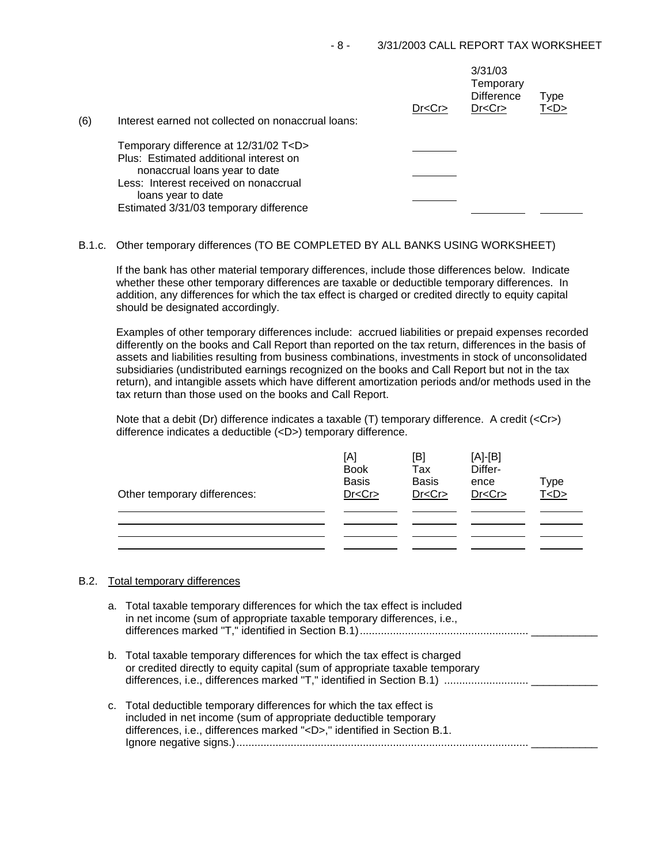| Dr < Cr<br>(6)<br>Interest earned not collected on nonaccrual loans:   | 3/31/03<br>Temporary<br><b>Difference</b><br>Type<br>T <d><br/>Dr &lt; Cr</d> |
|------------------------------------------------------------------------|-------------------------------------------------------------------------------|
| Temporary difference at 12/31/02 T <d></d>                             |                                                                               |
| Plus: Estimated additional interest on                                 |                                                                               |
| nonaccrual loans year to date<br>Less: Interest received on nonaccrual |                                                                               |
| loans year to date                                                     |                                                                               |
| Estimated 3/31/03 temporary difference                                 |                                                                               |

#### B.1.c. Other temporary differences (TO BE COMPLETED BY ALL BANKS USING WORKSHEET)

If the bank has other material temporary differences, include those differences below. Indicate whether these other temporary differences are taxable or deductible temporary differences. In addition, any differences for which the tax effect is charged or credited directly to equity capital should be designated accordingly.

Examples of other temporary differences include: accrued liabilities or prepaid expenses recorded differently on the books and Call Report than reported on the tax return, differences in the basis of assets and liabilities resulting from business combinations, investments in stock of unconsolidated subsidiaries (undistributed earnings recognized on the books and Call Report but not in the tax return), and intangible assets which have different amortization periods and/or methods used in the tax return than those used on the books and Call Report.

Note that a debit (Dr) difference indicates a taxable (T) temporary difference. A credit (<Cr>) difference indicates a deductible (<D>) temporary difference.

| Other temporary differences: | [A]<br><b>Book</b><br><b>Basis</b><br>Dr < Cr | [B]<br>Tax<br><b>Basis</b><br>Dr < Cr | $[A]-[B]$<br>Differ-<br>ence<br>Dr < Cr | Type<br><u>T<d></d></u> |
|------------------------------|-----------------------------------------------|---------------------------------------|-----------------------------------------|-------------------------|
|                              |                                               |                                       |                                         |                         |

### B.2. Total temporary differences

| a. Total taxable temporary differences for which the tax effect is included<br>in net income (sum of appropriate taxable temporary differences, i.e.,                                                                    |
|--------------------------------------------------------------------------------------------------------------------------------------------------------------------------------------------------------------------------|
| b. Total taxable temporary differences for which the tax effect is charged<br>or credited directly to equity capital (sum of appropriate taxable temporary                                                               |
| c. Total deductible temporary differences for which the tax effect is<br>included in net income (sum of appropriate deductible temporary<br>differences, i.e., differences marked " <d>," identified in Section B.1.</d> |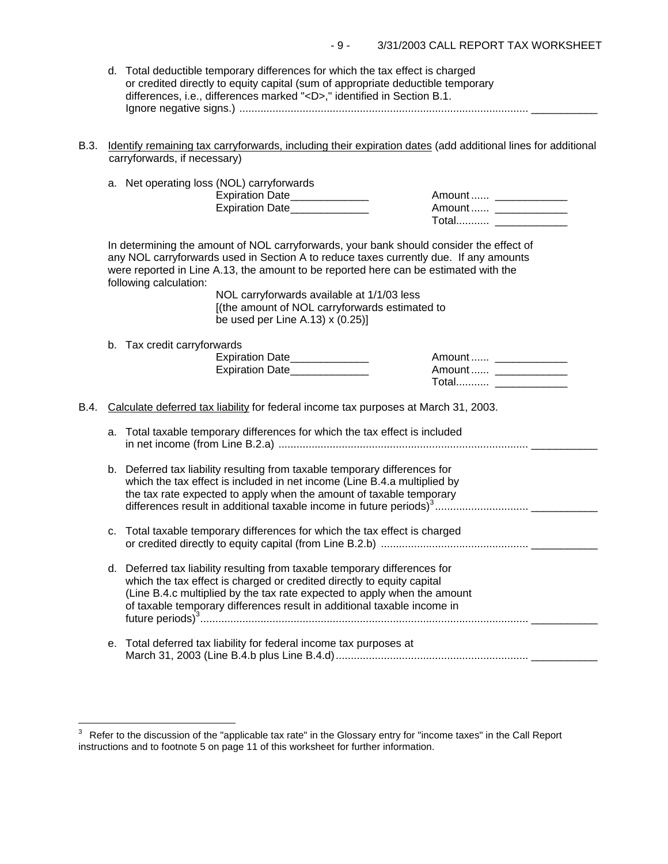| d. Total deductible temporary differences for which the tax effect is charged   |
|---------------------------------------------------------------------------------|
| or credited directly to equity capital (sum of appropriate deductible temporary |
| differences, i.e., differences marked " <d>," identified in Section B.1.</d>    |
|                                                                                 |

B.3. Identify remaining tax carryforwards, including their expiration dates (add additional lines for additional carryforwards, if necessary)

|                                                                                             |    | a. Net operating loss (NOL) carryforwards<br>Expiration Date______________<br>Expiration Date                                                                                                                                                                                                                                                                                                                                            | Amount  _______________                          |
|---------------------------------------------------------------------------------------------|----|------------------------------------------------------------------------------------------------------------------------------------------------------------------------------------------------------------------------------------------------------------------------------------------------------------------------------------------------------------------------------------------------------------------------------------------|--------------------------------------------------|
|                                                                                             |    | In determining the amount of NOL carryforwards, your bank should consider the effect of<br>any NOL carryforwards used in Section A to reduce taxes currently due. If any amounts<br>were reported in Line A.13, the amount to be reported here can be estimated with the<br>following calculation:<br>NOL carryforwards available at 1/1/03 less<br>[(the amount of NOL carryforwards estimated to<br>be used per Line A.13) $x(0.25)$ ] |                                                  |
|                                                                                             |    | b. Tax credit carryforwards<br>Expiration Date______________<br>Expiration Date______________                                                                                                                                                                                                                                                                                                                                            | Amount  _____________<br>Amount  _______________ |
| B.4.<br>Calculate deferred tax liability for federal income tax purposes at March 31, 2003. |    |                                                                                                                                                                                                                                                                                                                                                                                                                                          |                                                  |
|                                                                                             | a. | Total taxable temporary differences for which the tax effect is included                                                                                                                                                                                                                                                                                                                                                                 |                                                  |
|                                                                                             |    | b. Deferred tax liability resulting from taxable temporary differences for<br>which the tax effect is included in net income (Line B.4.a multiplied by<br>the tax rate expected to apply when the amount of taxable temporary                                                                                                                                                                                                            |                                                  |
|                                                                                             | c. | Total taxable temporary differences for which the tax effect is charged                                                                                                                                                                                                                                                                                                                                                                  |                                                  |
|                                                                                             |    | d. Deferred tax liability resulting from taxable temporary differences for<br>which the tax effect is charged or credited directly to equity capital<br>(Line B.4.c multiplied by the tax rate expected to apply when the amount<br>of taxable temporary differences result in additional taxable income in                                                                                                                              |                                                  |
|                                                                                             | е. | Total deferred tax liability for federal income tax purposes at                                                                                                                                                                                                                                                                                                                                                                          |                                                  |

j.

 $3$  Refer to the discussion of the "applicable tax rate" in the Glossary entry for "income taxes" in the Call Report instructions and to footnote 5 on page 11 of this worksheet for further information.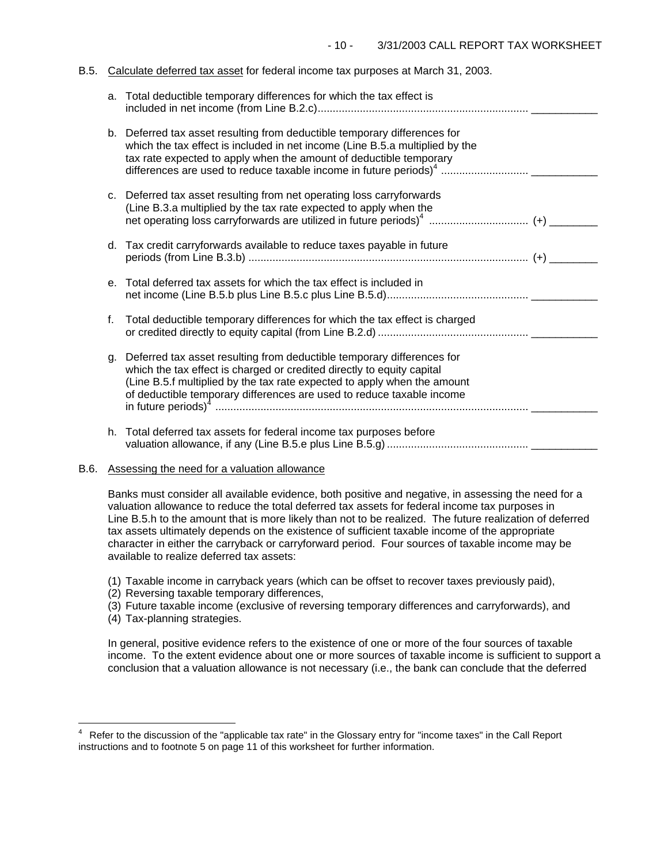#### B.5. Calculate deferred tax asset for federal income tax purposes at March 31, 2003.

|    | a. Total deductible temporary differences for which the tax effect is                                                                                                                                                                                                                                 |  |
|----|-------------------------------------------------------------------------------------------------------------------------------------------------------------------------------------------------------------------------------------------------------------------------------------------------------|--|
|    | b. Deferred tax asset resulting from deductible temporary differences for<br>which the tax effect is included in net income (Line B.5.a multiplied by the<br>tax rate expected to apply when the amount of deductible temporary                                                                       |  |
|    | c. Deferred tax asset resulting from net operating loss carryforwards<br>(Line B.3.a multiplied by the tax rate expected to apply when the                                                                                                                                                            |  |
|    | d. Tax credit carryforwards available to reduce taxes payable in future                                                                                                                                                                                                                               |  |
|    | e. Total deferred tax assets for which the tax effect is included in                                                                                                                                                                                                                                  |  |
| f. | Total deductible temporary differences for which the tax effect is charged                                                                                                                                                                                                                            |  |
| q. | Deferred tax asset resulting from deductible temporary differences for<br>which the tax effect is charged or credited directly to equity capital<br>(Line B.5.f multiplied by the tax rate expected to apply when the amount<br>of deductible temporary differences are used to reduce taxable income |  |
|    | h. Total deferred tax assets for federal income tax purposes before                                                                                                                                                                                                                                   |  |

## B.6. Assessing the need for a valuation allowance

Banks must consider all available evidence, both positive and negative, in assessing the need for a valuation allowance to reduce the total deferred tax assets for federal income tax purposes in Line B.5.h to the amount that is more likely than not to be realized. The future realization of deferred tax assets ultimately depends on the existence of sufficient taxable income of the appropriate character in either the carryback or carryforward period. Four sources of taxable income may be available to realize deferred tax assets:

- (1) Taxable income in carryback years (which can be offset to recover taxes previously paid),
- (2) Reversing taxable temporary differences,
- (3) Future taxable income (exclusive of reversing temporary differences and carryforwards), and
- (4) Tax-planning strategies.

J.

In general, positive evidence refers to the existence of one or more of the four sources of taxable income. To the extent evidence about one or more sources of taxable income is sufficient to support a conclusion that a valuation allowance is not necessary (i.e., the bank can conclude that the deferred

<sup>4</sup> Refer to the discussion of the "applicable tax rate" in the Glossary entry for "income taxes" in the Call Report instructions and to footnote 5 on page 11 of this worksheet for further information.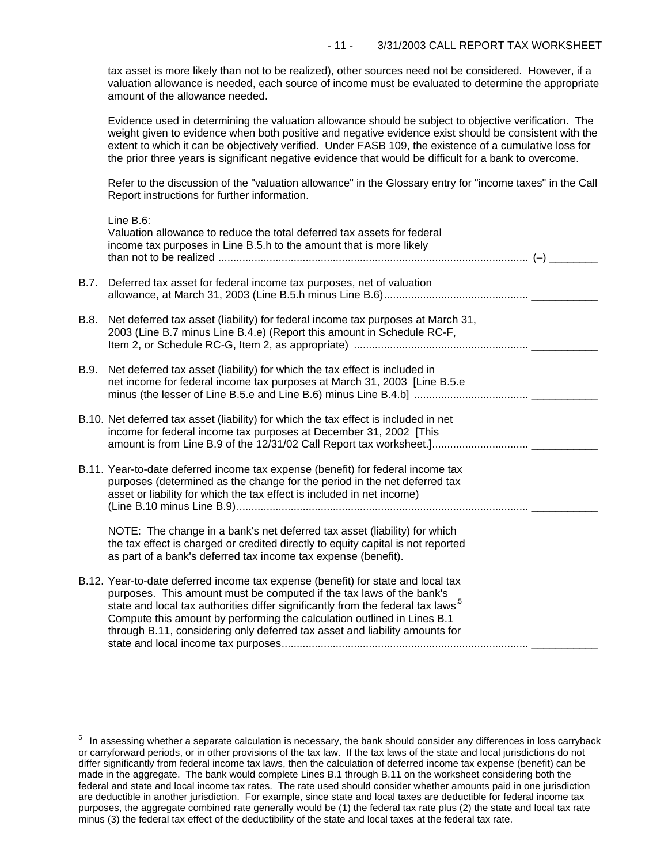tax asset is more likely than not to be realized), other sources need not be considered. However, if a valuation allowance is needed, each source of income must be evaluated to determine the appropriate amount of the allowance needed.

Evidence used in determining the valuation allowance should be subject to objective verification. The weight given to evidence when both positive and negative evidence exist should be consistent with the extent to which it can be objectively verified. Under FASB 109, the existence of a cumulative loss for the prior three years is significant negative evidence that would be difficult for a bank to overcome.

Refer to the discussion of the "valuation allowance" in the Glossary entry for "income taxes" in the Call Report instructions for further information.

|      | Line B.6:<br>Valuation allowance to reduce the total deferred tax assets for federal<br>income tax purposes in Line B.5.h to the amount that is more likely                                                                                                                                                                                                                                                       |  |
|------|-------------------------------------------------------------------------------------------------------------------------------------------------------------------------------------------------------------------------------------------------------------------------------------------------------------------------------------------------------------------------------------------------------------------|--|
| B.7. | Deferred tax asset for federal income tax purposes, net of valuation                                                                                                                                                                                                                                                                                                                                              |  |
| B.8. | Net deferred tax asset (liability) for federal income tax purposes at March 31,<br>2003 (Line B.7 minus Line B.4.e) (Report this amount in Schedule RC-F,                                                                                                                                                                                                                                                         |  |
| B.9. | Net deferred tax asset (liability) for which the tax effect is included in<br>net income for federal income tax purposes at March 31, 2003 [Line B.5.e                                                                                                                                                                                                                                                            |  |
|      | B.10. Net deferred tax asset (liability) for which the tax effect is included in net<br>income for federal income tax purposes at December 31, 2002 [This                                                                                                                                                                                                                                                         |  |
|      | B.11. Year-to-date deferred income tax expense (benefit) for federal income tax<br>purposes (determined as the change for the period in the net deferred tax<br>asset or liability for which the tax effect is included in net income)                                                                                                                                                                            |  |
|      | NOTE: The change in a bank's net deferred tax asset (liability) for which<br>the tax effect is charged or credited directly to equity capital is not reported<br>as part of a bank's deferred tax income tax expense (benefit).                                                                                                                                                                                   |  |
|      | B.12. Year-to-date deferred income tax expense (benefit) for state and local tax<br>purposes. This amount must be computed if the tax laws of the bank's<br>state and local tax authorities differ significantly from the federal tax laws <sup>5</sup><br>Compute this amount by performing the calculation outlined in Lines B.1<br>through B.11, considering only deferred tax asset and liability amounts for |  |

i<br>L

 $5$  In assessing whether a separate calculation is necessary, the bank should consider any differences in loss carryback or carryforward periods, or in other provisions of the tax law. If the tax laws of the state and local jurisdictions do not differ significantly from federal income tax laws, then the calculation of deferred income tax expense (benefit) can be made in the aggregate. The bank would complete Lines B.1 through B.11 on the worksheet considering both the federal and state and local income tax rates. The rate used should consider whether amounts paid in one jurisdiction are deductible in another jurisdiction. For example, since state and local taxes are deductible for federal income tax purposes, the aggregate combined rate generally would be (1) the federal tax rate plus (2) the state and local tax rate minus (3) the federal tax effect of the deductibility of the state and local taxes at the federal tax rate.